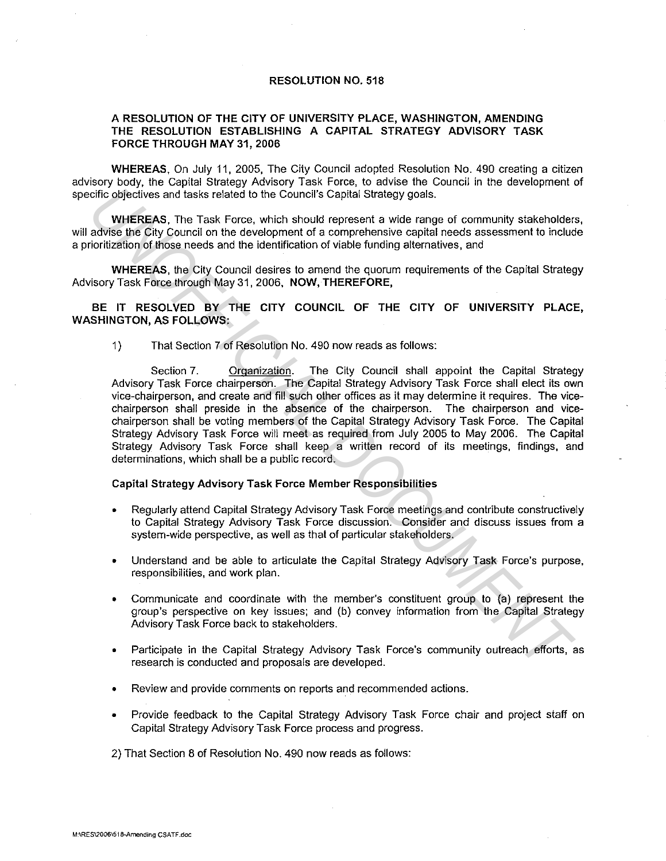## RESOLUTION NO. 518

## A RESOLUTION OF THE CITY OF UNIVERSITY PLACE, WASHINGTON, AMENDING THE RESOLUTION ESTABLISHING A CAPITAL STRATEGY ADVISORY TASK FORCE THROUGH MAY 31, 2006

WHEREAS. On July 11, 2005, The City Council adopted Resolution No. 490 creating a citizen advisory body, the Capital Strategy Advisory Task Force, to advise the Council in the development of specific objectives and tasks related to the Council's Capital Strategy goals.

WHEREAS, The Task Force, which should represent a wide range of community stakeholders, will advise the City Council on the development of a comprehensive capital needs assessment to include a prioritization of those needs and the identification of viable funding alternatives, and

WHEREAS, the City Council desires to amend the quorum requirements of the Capital Strategy Advisory Task Force through May 31, 2006, NOW, THEREFORE,

BE IT RESOLVED BY THE CITY COUNCIL OF THE CITY OF UNIVERSITY PLACE, WASHINGTON, AS FOLLOWS:

1) That Section 7 of Resolution No. 490 now reads as follows:

Section 7. Organization. The City Council shall appoint the Capital Strategy Advisory Task Force chairperson. The Capital Strategy Advisory Task Force shall elect its own vice-chairperson, and create and fill such other offices as it may determine it requires. The vicechairperson shall preside in the absence of the chairperson. The chairperson and vicechairperson shall be voting members of the Capital Strategy Advisory Task Force. The Capital Strategy Advisory Task Force will meet as required from July 2005 to May 2006. The Capital Strategy Advisory Task Force shall keep a written record of its meetings, findings, and determinations, which shall be a public record. cific objectives and tasks related to the Council's Capital Strategy goals.<br> **WHEFERS,** The Task Force, which should represent a wide cange of community stakeholder<br>
advise the City Council on the development of a comprehe

## Capital Strategy Advisory Task Force Member Responsibilities

- Regularly attend Capital Strategy Advisory Task Force meetings and contribute constructively to Capital Strategy Advisory Task Force discussion. Consider and discuss issues from a system-wide perspective, as well as that of particular stakeholders.
- Understand and be able to articulate the Capital Strategy Advisory Task Force's purpose, responsibilities, and work plan.
- Communicate and coordinate with the member's constituent group to (a) represent the group's perspective on key issues; and (b) convey information from the Capital Strategy Advisory Task Force back to stakeholders.
- Participate in the Capital Strategy Advisory Task Force's community outreach efforts, as research is conducted and proposals are developed.
- Review and provide comments on reports and recommended actions.
- Provide feedback to the Capital Strategy Advisory Task Force chair and project staff on Capital Strategy Advisory Task Force process and progress.

2) That Section 8 of Resolution No. 490 now reads as follows: